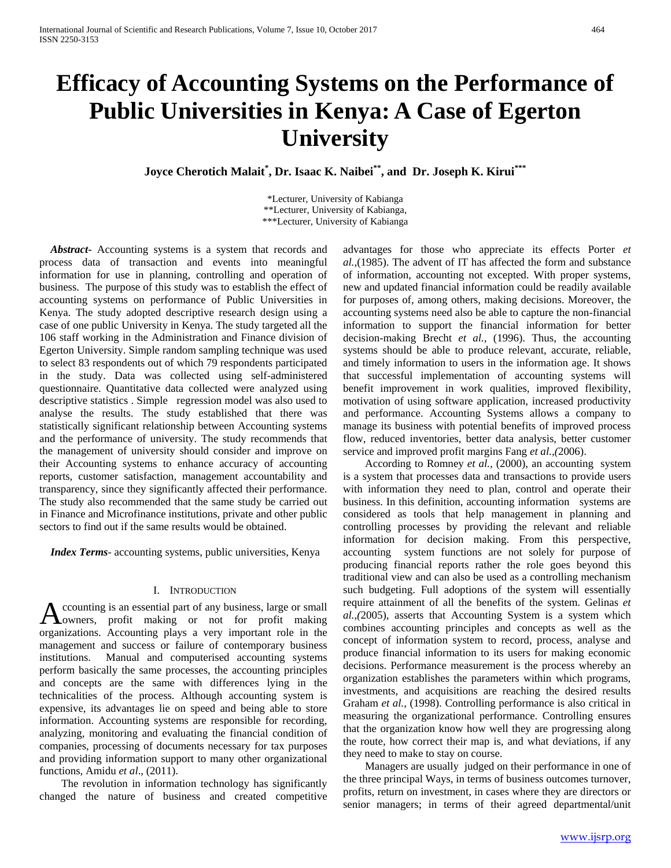# **Efficacy of Accounting Systems on the Performance of Public Universities in Kenya: A Case of Egerton University**

**Joyce Cherotich Malait\* , Dr. Isaac K. Naibei\*\*, and Dr. Joseph K. Kirui\*\*\***

\*Lecturer, University of Kabianga \*\*Lecturer, University of Kabianga, \*\*\*Lecturer, University of Kabianga

 *Abstract***-** Accounting systems is a system that records and process data of transaction and events into meaningful information for use in planning, controlling and operation of business. The purpose of this study was to establish the effect of accounting systems on performance of Public Universities in Kenya. The study adopted descriptive research design using a case of one public University in Kenya. The study targeted all the 106 staff working in the Administration and Finance division of Egerton University. Simple random sampling technique was used to select 83 respondents out of which 79 respondents participated in the study. Data was collected using self-administered questionnaire. Quantitative data collected were analyzed using descriptive statistics . Simple regression model was also used to analyse the results. The study established that there was statistically significant relationship between Accounting systems and the performance of university. The study recommends that the management of university should consider and improve on their Accounting systems to enhance accuracy of accounting reports, customer satisfaction, management accountability and transparency, since they significantly affected their performance. The study also recommended that the same study be carried out in Finance and Microfinance institutions, private and other public sectors to find out if the same results would be obtained.

 *Index Terms*- accounting systems, public universities, Kenya

# I. INTRODUCTION

ccounting is an essential part of any business, large or small owners, profit making or not for profit making **A** ccounting is an essential part of any business, large or small owners, profit making or not for profit making organizations. Accounting plays a very important role in the management and success or failure of contemporary business institutions. Manual and computerised accounting systems perform basically the same processes, the accounting principles and concepts are the same with differences lying in the technicalities of the process. Although accounting system is expensive, its advantages lie on speed and being able to store information. Accounting systems are responsible for recording, analyzing, monitoring and evaluating the financial condition of companies, processing of documents necessary for tax purposes and providing information support to many other organizational functions, Amidu *et al*., (2011).

 The revolution in information technology has significantly changed the nature of business and created competitive advantages for those who appreciate its effects Porter *et al.,*(1985). The advent of IT has affected the form and substance of information, accounting not excepted. With proper systems, new and updated financial information could be readily available for purposes of, among others, making decisions. Moreover, the accounting systems need also be able to capture the non-financial information to support the financial information for better decision-making Brecht *et al.,* (1996). Thus, the accounting systems should be able to produce relevant, accurate, reliable, and timely information to users in the information age. It shows that successful implementation of accounting systems will benefit improvement in work qualities, improved flexibility, motivation of using software application, increased productivity and performance. Accounting Systems allows a company to manage its business with potential benefits of improved process flow, reduced inventories, better data analysis, better customer service and improved profit margins Fang *et al.,(*2006).

 According to Romney *et al.,* (2000), an accounting system is a system that processes data and transactions to provide users with information they need to plan, control and operate their business. In this definition, accounting information systems are considered as tools that help management in planning and controlling processes by providing the relevant and reliable information for decision making. From this perspective, accounting system functions are not solely for purpose of producing financial reports rather the role goes beyond this traditional view and can also be used as a controlling mechanism such budgeting. Full adoptions of the system will essentially require attainment of all the benefits of the system. Gelinas *et al.,(*2005), asserts that Accounting System is a system which combines accounting principles and concepts as well as the concept of information system to record, process, analyse and produce financial information to its users for making economic decisions. Performance measurement is the process whereby an organization establishes the parameters within which programs, investments, and acquisitions are reaching the desired results Graham *et al.,* (1998). Controlling performance is also critical in measuring the organizational performance. Controlling ensures that the organization know how well they are progressing along the route, how correct their map is, and what deviations, if any they need to make to stay on course.

 Managers are usually judged on their performance in one of the three principal Ways, in terms of business outcomes turnover, profits, return on investment, in cases where they are directors or senior managers; in terms of their agreed departmental/unit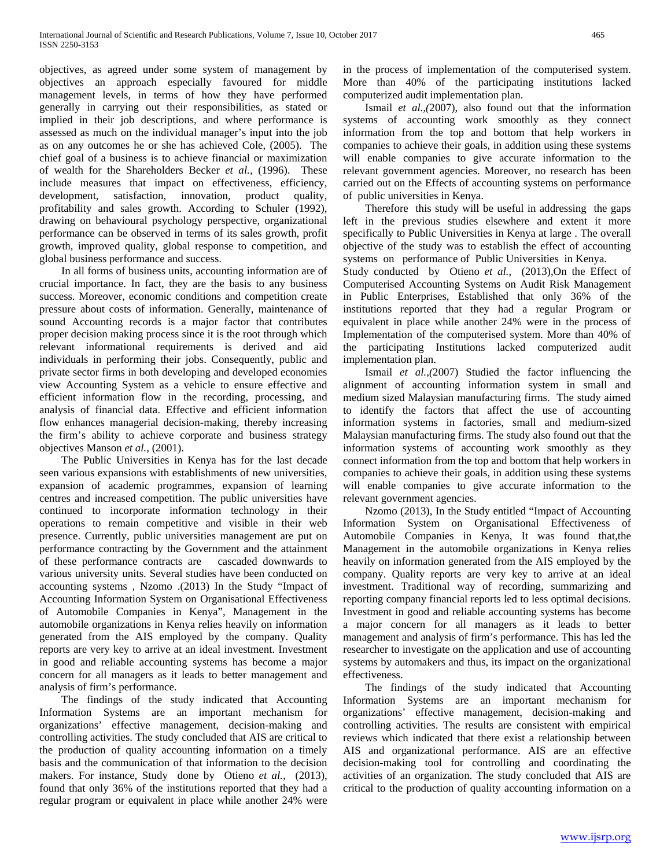objectives, as agreed under some system of management by objectives an approach especially favoured for middle management levels, in terms of how they have performed generally in carrying out their responsibilities, as stated or implied in their job descriptions, and where performance is assessed as much on the individual manager's input into the job as on any outcomes he or she has achieved Cole, (2005). The chief goal of a business is to achieve financial or maximization of wealth for the Shareholders Becker *et al.,* (1996). These include measures that impact on effectiveness, efficiency, development, satisfaction, innovation, product quality, profitability and sales growth. According to Schuler (1992), drawing on behavioural psychology perspective, organizational performance can be observed in terms of its sales growth, profit growth, improved quality, global response to competition, and global business performance and success.

 In all forms of business units, accounting information are of crucial importance. In fact, they are the basis to any business success. Moreover, economic conditions and competition create pressure about costs of information. Generally, maintenance of sound Accounting records is a major factor that contributes proper decision making process since it is the root through which relevant informational requirements is derived and aid individuals in performing their jobs. Consequently, public and private sector firms in both developing and developed economies view Accounting System as a vehicle to ensure effective and efficient information flow in the recording, processing, and analysis of financial data. Effective and efficient information flow enhances managerial decision-making, thereby increasing the firm's ability to achieve corporate and business strategy objectives Manson *et al.,* (2001).

 The Public Universities in Kenya has for the last decade seen various expansions with establishments of new universities, expansion of academic programmes, expansion of learning centres and increased competition. The public universities have continued to incorporate information technology in their operations to remain competitive and visible in their web presence. Currently, public universities management are put on performance contracting by the Government and the attainment of these performance contracts are cascaded downwards to various university units. Several studies have been conducted on accounting systems , Nzomo .(2013) In the Study "Impact of Accounting Information System on Organisational Effectiveness of Automobile Companies in Kenya", Management in the automobile organizations in Kenya relies heavily on information generated from the AIS employed by the company. Quality reports are very key to arrive at an ideal investment. Investment in good and reliable accounting systems has become a major concern for all managers as it leads to better management and analysis of firm's performance.

 The findings of the study indicated that Accounting Information Systems are an important mechanism for organizations' effective management, decision-making and controlling activities. The study concluded that AIS are critical to the production of quality accounting information on a timely basis and the communication of that information to the decision makers. For instance, Study done by Otieno et al., (2013), found that only 36% of the institutions reported that they had a regular program or equivalent in place while another 24% were in the process of implementation of the computerised system. More than 40% of the participating institutions lacked computerized audit implementation plan.

 Ismail *et al.,(*2007), also found out that the information systems of accounting work smoothly as they connect information from the top and bottom that help workers in companies to achieve their goals, in addition using these systems will enable companies to give accurate information to the relevant government agencies. Moreover, no research has been carried out on the Effects of accounting systems on performance of public universities in Kenya.

 Therefore this study will be useful in addressing the gaps left in the previous studies elsewhere and extent it more specifically to Public Universities in Kenya at large . The overall objective of the study was to establish the effect of accounting systems on performance of Public Universities in Kenya.

Study conducted by Otieno *et al.,* (2013),On the Effect of Computerised Accounting Systems on Audit Risk Management in Public Enterprises, Established that only 36% of the institutions reported that they had a regular Program or equivalent in place while another 24% were in the process of Implementation of the computerised system. More than 40% of the participating Institutions lacked computerized audit implementation plan.

 Ismail *et al.,(*2007) Studied the factor influencing the alignment of accounting information system in small and medium sized Malaysian manufacturing firms. The study aimed to identify the factors that affect the use of accounting information systems in factories, small and medium-sized Malaysian manufacturing firms. The study also found out that the information systems of accounting work smoothly as they connect information from the top and bottom that help workers in companies to achieve their goals, in addition using these systems will enable companies to give accurate information to the relevant government agencies.

 Nzomo (2013), In the Study entitled "Impact of Accounting Information System on Organisational Effectiveness of Automobile Companies in Kenya, It was found that,the Management in the automobile organizations in Kenya relies heavily on information generated from the AIS employed by the company. Quality reports are very key to arrive at an ideal investment. Traditional way of recording, summarizing and reporting company financial reports led to less optimal decisions. Investment in good and reliable accounting systems has become a major concern for all managers as it leads to better management and analysis of firm's performance. This has led the researcher to investigate on the application and use of accounting systems by automakers and thus, its impact on the organizational effectiveness.

 The findings of the study indicated that Accounting Information Systems are an important mechanism for organizations' effective management, decision-making and controlling activities. The results are consistent with empirical reviews which indicated that there exist a relationship between AIS and organizational performance. AIS are an effective decision-making tool for controlling and coordinating the activities of an organization. The study concluded that AIS are critical to the production of quality accounting information on a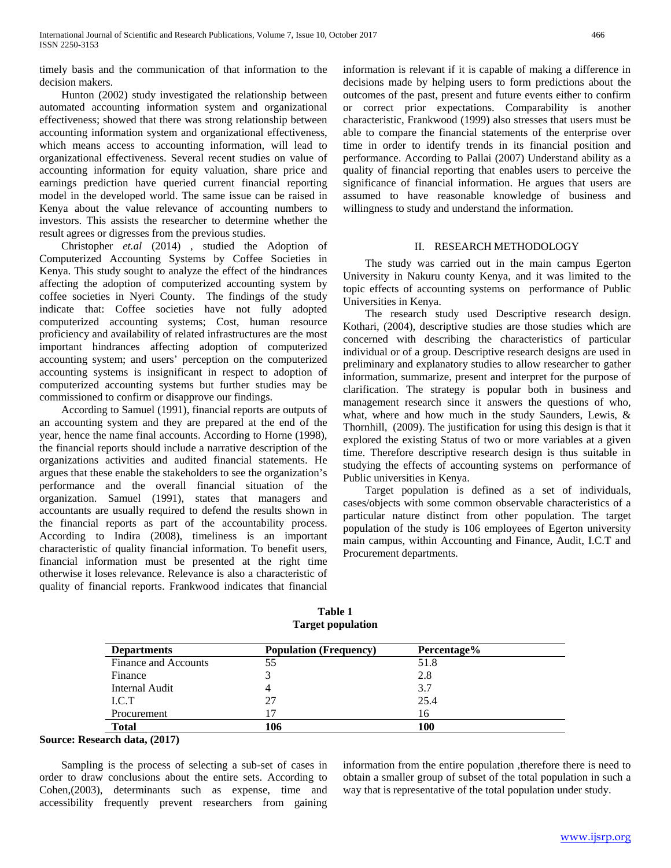timely basis and the communication of that information to the decision makers.

 Hunton (2002) study investigated the relationship between automated accounting information system and organizational effectiveness; showed that there was strong relationship between accounting information system and organizational effectiveness, which means access to accounting information, will lead to organizational effectiveness. Several recent studies on value of accounting information for equity valuation, share price and earnings prediction have queried current financial reporting model in the developed world. The same issue can be raised in Kenya about the value relevance of accounting numbers to investors. This assists the researcher to determine whether the result agrees or digresses from the previous studies.

 Christopher *et.al* (2014) , studied the Adoption of Computerized Accounting Systems by Coffee Societies in Kenya. This study sought to analyze the effect of the hindrances affecting the adoption of computerized accounting system by coffee societies in Nyeri County. The findings of the study indicate that: Coffee societies have not fully adopted computerized accounting systems; Cost, human resource proficiency and availability of related infrastructures are the most important hindrances affecting adoption of computerized accounting system; and users' perception on the computerized accounting systems is insignificant in respect to adoption of computerized accounting systems but further studies may be commissioned to confirm or disapprove our findings.

 According to Samuel (1991), financial reports are outputs of an accounting system and they are prepared at the end of the year, hence the name final accounts. According to Horne (1998), the financial reports should include a narrative description of the organizations activities and audited financial statements. He argues that these enable the stakeholders to see the organization's performance and the overall financial situation of the organization. Samuel (1991), states that managers and accountants are usually required to defend the results shown in the financial reports as part of the accountability process. According to Indira (2008), timeliness is an important characteristic of quality financial information. To benefit users, financial information must be presented at the right time otherwise it loses relevance. Relevance is also a characteristic of quality of financial reports. Frankwood indicates that financial information is relevant if it is capable of making a difference in decisions made by helping users to form predictions about the outcomes of the past, present and future events either to confirm or correct prior expectations. Comparability is another characteristic, Frankwood (1999) also stresses that users must be able to compare the financial statements of the enterprise over time in order to identify trends in its financial position and performance. According to Pallai (2007) Understand ability as a quality of financial reporting that enables users to perceive the significance of financial information. He argues that users are assumed to have reasonable knowledge of business and willingness to study and understand the information.

### II. RESEARCH METHODOLOGY

 The study was carried out in the main campus Egerton University in Nakuru county Kenya, and it was limited to the topic effects of accounting systems on performance of Public Universities in Kenya.

 The research study used Descriptive research design. Kothari, (2004), descriptive studies are those studies which are concerned with describing the characteristics of particular individual or of a group. Descriptive research designs are used in preliminary and explanatory studies to allow researcher to gather information, summarize, present and interpret for the purpose of clarification. The strategy is popular both in business and management research since it answers the questions of who, what, where and how much in the study Saunders, Lewis, & Thornhill, (2009). The justification for using this design is that it explored the existing Status of two or more variables at a given time. Therefore descriptive research design is thus suitable in studying the effects of accounting systems on performance of Public universities in Kenya.

 Target population is defined as a set of individuals, cases/objects with some common observable characteristics of a particular nature distinct from other population. The target population of the study is 106 employees of Egerton university main campus, within Accounting and Finance, Audit, I.C.T and Procurement departments.

| <b>Departments</b>   | <b>Population (Frequency)</b> | Percentage% |  |
|----------------------|-------------------------------|-------------|--|
| Finance and Accounts | 55                            | 51.8        |  |
| Finance              |                               | 2.8         |  |
| Internal Audit       |                               | 3.7         |  |
| LC.T                 | 27                            | 25.4        |  |
| Procurement          | 17                            | 16          |  |
| Total                | 106                           | 100         |  |

**Table 1 Target population**

### **Source: Research data, (2017)**

 Sampling is the process of selecting a sub-set of cases in order to draw conclusions about the entire sets. According to Cohen,(2003), determinants such as expense, time and accessibility frequently prevent researchers from gaining information from the entire population ,therefore there is need to obtain a smaller group of subset of the total population in such a way that is representative of the total population under study.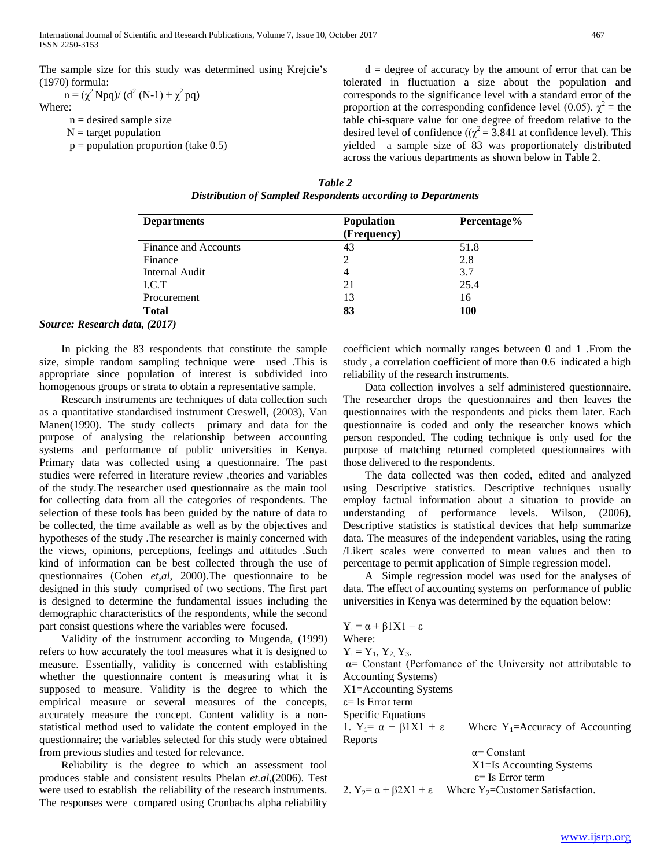The sample size for this study was determined using Krejcie's (1970) formula:

$$
n = (\chi^2 Npq) / (d^2 (N-1) + \chi^2 pq)
$$
  
Where:

 $n =$  desired sample size

 $N =$  target population

 $p =$  population proportion (take 0.5)

 $d =$  degree of accuracy by the amount of error that can be tolerated in fluctuation a size about the population and corresponds to the significance level with a standard error of the proportion at the corresponding confidence level (0.05).  $\chi^2$  = the table chi-square value for one degree of freedom relative to the desired level of confidence (( $\chi^2$  = 3.841 at confidence level). This yielded a sample size of 83 was proportionately distributed across the various departments as shown below in Table 2.

| Table 2                                                      |
|--------------------------------------------------------------|
| Distribution of Sampled Respondents according to Departments |

| <b>Departments</b>   | <b>Population</b><br>(Frequency) |      |
|----------------------|----------------------------------|------|
| Finance and Accounts | 43                               | 51.8 |
| Finance              |                                  | 2.8  |
| Internal Audit       |                                  | 3.7  |
| LC.T                 | 21                               | 25.4 |
| Procurement          | 13                               | 16   |
| Total                |                                  | 100  |

*Source: Research data, (2017)*

 In picking the 83 respondents that constitute the sample size, simple random sampling technique were used .This is appropriate since population of interest is subdivided into homogenous groups or strata to obtain a representative sample.

 Research instruments are techniques of data collection such as a quantitative standardised instrument Creswell, (2003), Van Manen(1990). The study collects primary and data for the purpose of analysing the relationship between accounting systems and performance of public universities in Kenya. Primary data was collected using a questionnaire. The past studies were referred in literature review ,theories and variables of the study.The researcher used questionnaire as the main tool for collecting data from all the categories of respondents. The selection of these tools has been guided by the nature of data to be collected, the time available as well as by the objectives and hypotheses of the study .The researcher is mainly concerned with the views, opinions, perceptions, feelings and attitudes .Such kind of information can be best collected through the use of questionnaires (Cohen *et,al*, 2000).The questionnaire to be designed in this study comprised of two sections. The first part is designed to determine the fundamental issues including the demographic characteristics of the respondents, while the second part consist questions where the variables were focused.

 Validity of the instrument according to Mugenda, (1999) refers to how accurately the tool measures what it is designed to measure. Essentially, validity is concerned with establishing whether the questionnaire content is measuring what it is supposed to measure. Validity is the degree to which the empirical measure or several measures of the concepts, accurately measure the concept. Content validity is a nonstatistical method used to validate the content employed in the questionnaire; the variables selected for this study were obtained from previous studies and tested for relevance.

 Reliability is the degree to which an assessment tool produces stable and consistent results Phelan *et.al*,(2006). Test were used to establish the reliability of the research instruments. The responses were compared using Cronbachs alpha reliability

coefficient which normally ranges between 0 and 1 .From the study , a correlation coefficient of more than 0.6 indicated a high reliability of the research instruments.

 Data collection involves a self administered questionnaire. The researcher drops the questionnaires and then leaves the questionnaires with the respondents and picks them later. Each questionnaire is coded and only the researcher knows which person responded. The coding technique is only used for the purpose of matching returned completed questionnaires with those delivered to the respondents.

 The data collected was then coded, edited and analyzed using Descriptive statistics. Descriptive techniques usually employ factual information about a situation to provide an understanding of performance levels. Wilson, (2006), Descriptive statistics is statistical devices that help summarize data. The measures of the independent variables, using the rating /Likert scales were converted to mean values and then to percentage to permit application of Simple regression model.

 A Simple regression model was used for the analyses of data. The effect of accounting systems on performance of public universities in Kenya was determined by the equation below:

 $Y_i = \alpha + \beta 1X1 + \varepsilon$ Where:  $Y_i = Y_1, Y_2, Y_3.$ α= Constant (Perfomance of the University not attributable to Accounting Systems) X1=Accounting Systems ε= Is Error term Specific Equations 1.  $Y_1 = \alpha + \beta 1X1 + \varepsilon$  Where Y<sub>1</sub>=Accuracy of Accounting Reports α= Constant X1=Is Accounting Systems ε= Is Error term

2.  $Y_2 = \alpha + \beta 2X1 + \varepsilon$  Where Y<sub>2</sub>=Customer Satisfaction.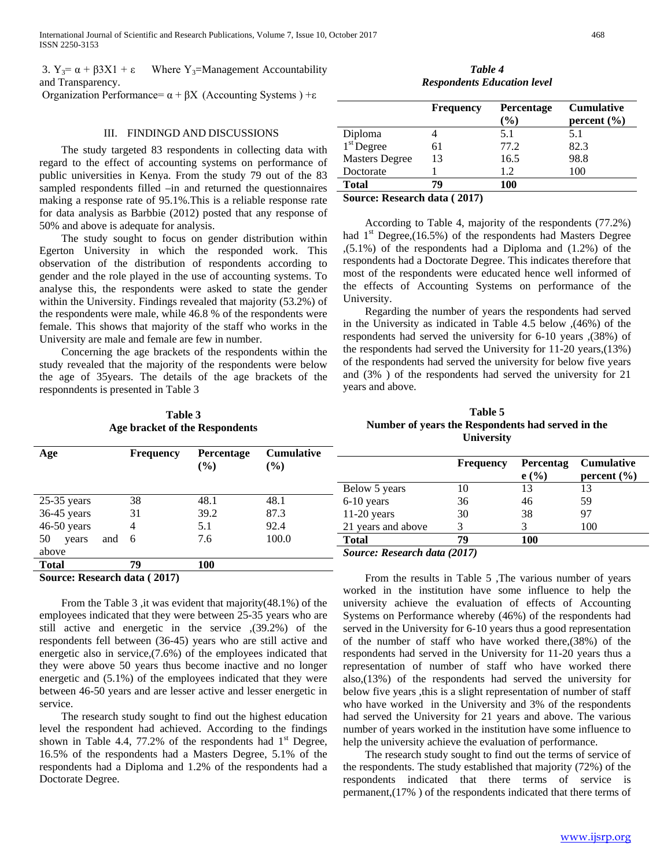| 3. $Y_3 = \alpha + \beta 3X1 + \epsilon$ | Where $Y_3$ =Management Accountability |
|------------------------------------------|----------------------------------------|
| and Transparency.                        |                                        |

Organization Performance=  $\alpha + \beta X$  (Accounting Systems) +ε

#### III. FINDINGD AND DISCUSSIONS

 The study targeted 83 respondents in collecting data with regard to the effect of accounting systems on performance of public universities in Kenya. From the study 79 out of the 83 sampled respondents filled –in and returned the questionnaires making a response rate of 95.1%.This is a reliable response rate for data analysis as Barbbie (2012) posted that any response of 50% and above is adequate for analysis.

 The study sought to focus on gender distribution within Egerton University in which the responded work. This observation of the distribution of respondents according to gender and the role played in the use of accounting systems. To analyse this, the respondents were asked to state the gender within the University. Findings revealed that majority (53.2%) of the respondents were male, while 46.8 % of the respondents were female. This shows that majority of the staff who works in the University are male and female are few in number.

 Concerning the age brackets of the respondents within the study revealed that the majority of the respondents were below the age of 35years. The details of the age brackets of the responndents is presented in Table 3

**Table 3 Age bracket of the Respondents**

*Table 4 Respondents Education level*

|                                                              | <b>Frequency</b> | <b>Percentage</b><br>$(\%)$ | <b>Cumulative</b><br>percent $(\% )$ |
|--------------------------------------------------------------|------------------|-----------------------------|--------------------------------------|
| Diploma                                                      |                  | 5.1                         | 5.1                                  |
| $1st$ Degree                                                 | 61               | 77.2                        | 82.3                                 |
| <b>Masters Degree</b>                                        | 13               | 16.5                        | 98.8                                 |
| Doctorate                                                    |                  | 1.2                         | 100                                  |
| <b>Total</b>                                                 | 79               | 100                         |                                      |
| $C_{2}$ $\cdots$ $D_{3}$ $\cdots$ $L_{n}$ $L_{n}$ $(201\pi)$ |                  |                             |                                      |

**Source: Research data ( 2017)**

 According to Table 4, majority of the respondents (77.2%) had  $1<sup>st</sup>$  Degree,(16.5%) of the respondents had Masters Degree ,(5.1%) of the respondents had a Diploma and (1.2%) of the respondents had a Doctorate Degree. This indicates therefore that most of the respondents were educated hence well informed of the effects of Accounting Systems on performance of the University.

 Regarding the number of years the respondents had served in the University as indicated in Table 4.5 below ,(46%) of the respondents had served the university for 6-10 years ,(38%) of the respondents had served the University for 11-20 years,(13%) of the respondents had served the university for below five years and (3% ) of the respondents had served the university for 21 years and above.

**Table 5 Number of years the Respondents had served in the University**

| Age                | <b>Frequency</b> | <b>Percentage</b> | <b>Cumulative</b> |                              |                  |                          |                                      |
|--------------------|------------------|-------------------|-------------------|------------------------------|------------------|--------------------------|--------------------------------------|
|                    |                  | $(\%)$            | $(\%)$            |                              | <b>Frequency</b> | <b>Percentag</b><br>e(%) | <b>Cumulative</b><br>percent $(\% )$ |
|                    |                  |                   |                   | Below 5 years                | 10               | 13                       | 13                                   |
| $25-35$ years      | 38               | 48.1              | 48.1              | $6-10$ years                 | 36               | 46                       | 59                                   |
| $36-45$ years      | 31               | 39.2              | 87.3              | $11-20$ years                | 30               | 38                       | 97                                   |
| $46-50$ years      |                  | 5.1               | 92.4              | 21 years and above           | 3                |                          | 100                                  |
| 50<br>and<br>years | - 6              | 7.6               | 100.0             | <b>Total</b>                 | 79               | 100                      |                                      |
| above              |                  |                   |                   | Source: Research data (2017) |                  |                          |                                      |
| <b>Total</b>       | 79               | 100               |                   |                              |                  |                          |                                      |

**Source: Research data ( 2017)**

 From the Table 3 ,it was evident that majority(48.1%) of the employees indicated that they were between 25-35 years who are still active and energetic in the service ,(39.2%) of the respondents fell between (36-45) years who are still active and energetic also in service,(7.6%) of the employees indicated that they were above 50 years thus become inactive and no longer energetic and (5.1%) of the employees indicated that they were between 46-50 years and are lesser active and lesser energetic in service.

 The research study sought to find out the highest education level the respondent had achieved. According to the findings shown in Table 4.4, 77.2% of the respondents had  $1<sup>st</sup>$  Degree, 16.5% of the respondents had a Masters Degree, 5.1% of the respondents had a Diploma and 1.2% of the respondents had a Doctorate Degree.

 From the results in Table 5 ,The various number of years worked in the institution have some influence to help the university achieve the evaluation of effects of Accounting Systems on Performance whereby (46%) of the respondents had served in the University for 6-10 years thus a good representation of the number of staff who have worked there,(38%) of the respondents had served in the University for 11-20 years thus a representation of number of staff who have worked there also,(13%) of the respondents had served the university for below five years ,this is a slight representation of number of staff who have worked in the University and 3% of the respondents had served the University for 21 years and above. The various number of years worked in the institution have some influence to help the university achieve the evaluation of performance.

 The research study sought to find out the terms of service of the respondents. The study established that majority (72%) of the respondents indicated that there terms of service is permanent,(17% ) of the respondents indicated that there terms of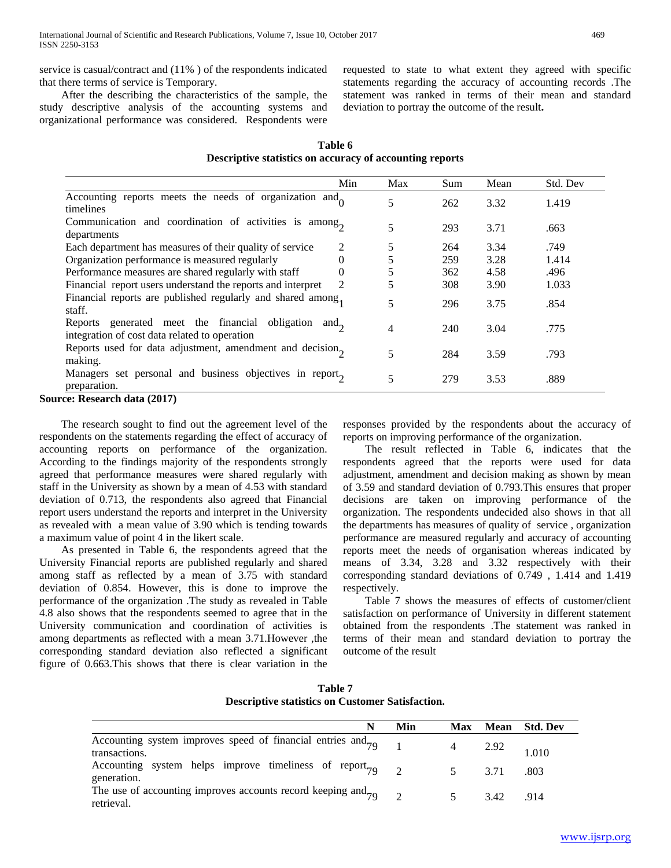service is casual/contract and (11% ) of the respondents indicated that there terms of service is Temporary.

 After the describing the characteristics of the sample, the study descriptive analysis of the accounting systems and organizational performance was considered. Respondents were requested to state to what extent they agreed with specific statements regarding the accuracy of accounting records .The statement was ranked in terms of their mean and standard deviation to portray the outcome of the result**.**

|                                                                 | Table 6 |  |
|-----------------------------------------------------------------|---------|--|
| <b>Descriptive statistics on accuracy of accounting reports</b> |         |  |

|                                                                                                                                           | Min | Max | Sum | Mean | Std. Dev |
|-------------------------------------------------------------------------------------------------------------------------------------------|-----|-----|-----|------|----------|
| Accounting reports meets the needs of organization and $_0$<br>timelines                                                                  |     | 5   | 262 | 3.32 | 1.419    |
| Communication and coordination of activities is among <sub>2</sub><br>departments                                                         |     | 5   | 293 | 3.71 | .663     |
| Each department has measures of their quality of service                                                                                  | 2   |     | 264 | 3.34 | .749     |
| Organization performance is measured regularly                                                                                            | 0   |     | 259 | 3.28 | 1.414    |
| Performance measures are shared regularly with staff                                                                                      | 0   |     | 362 | 4.58 | .496     |
| Financial report users understand the reports and interpret                                                                               | 2   |     | 308 | 3.90 | 1.033    |
| Financial reports are published regularly and shared among,<br>staff.                                                                     |     | 5   | 296 | 3.75 | .854     |
| Reports generated meet the financial<br>obligation<br>and <sub><math>\alpha</math></sub><br>integration of cost data related to operation |     | 4   | 240 | 3.04 | .775     |
| Reports used for data adjustment, amendment and decision <sub>2</sub><br>making.                                                          |     | 5   | 284 | 3.59 | .793     |
| Managers set personal and business objectives in report,<br>preparation.                                                                  |     | 5   | 279 | 3.53 | .889     |

#### **Source: Research data (2017)**

 The research sought to find out the agreement level of the respondents on the statements regarding the effect of accuracy of accounting reports on performance of the organization. According to the findings majority of the respondents strongly agreed that performance measures were shared regularly with staff in the University as shown by a mean of 4.53 with standard deviation of 0.713, the respondents also agreed that Financial report users understand the reports and interpret in the University as revealed with a mean value of 3.90 which is tending towards a maximum value of point 4 in the likert scale.

 As presented in Table 6, the respondents agreed that the University Financial reports are published regularly and shared among staff as reflected by a mean of 3.75 with standard deviation of 0.854. However, this is done to improve the performance of the organization .The study as revealed in Table 4.8 also shows that the respondents seemed to agree that in the University communication and coordination of activities is among departments as reflected with a mean 3.71.However ,the corresponding standard deviation also reflected a significant figure of 0.663.This shows that there is clear variation in the responses provided by the respondents about the accuracy of reports on improving performance of the organization.

 The result reflected in Table 6, indicates that the respondents agreed that the reports were used for data adjustment, amendment and decision making as shown by mean of 3.59 and standard deviation of 0.793.This ensures that proper decisions are taken on improving performance of the organization. The respondents undecided also shows in that all the departments has measures of quality of service , organization performance are measured regularly and accuracy of accounting reports meet the needs of organisation whereas indicated by means of 3.34, 3.28 and 3.32 respectively with their corresponding standard deviations of 0.749 , 1.414 and 1.419 respectively.

 Table 7 shows the measures of effects of customer/client satisfaction on performance of University in different statement obtained from the respondents .The statement was ranked in terms of their mean and standard deviation to portray the outcome of the result

**Table 7 Descriptive statistics on Customer Satisfaction.**

|                                                                                    | Min      | <b>Max</b>  | Mean      | <b>Std. Dev</b> |
|------------------------------------------------------------------------------------|----------|-------------|-----------|-----------------|
| Accounting system improves speed of financial entries and $_{79}$<br>transactions. |          |             |           | 4 2.92 $1.010$  |
| Accounting system helps improve timeliness of report $_{79}$ $_{2}$<br>generation. |          | $5^{\circ}$ | 3.71      | .803            |
| The use of accounting improves accounts record keeping and $_{79}$<br>retrieval.   | $\gamma$ | $\sim$      | 3.42 9.14 |                 |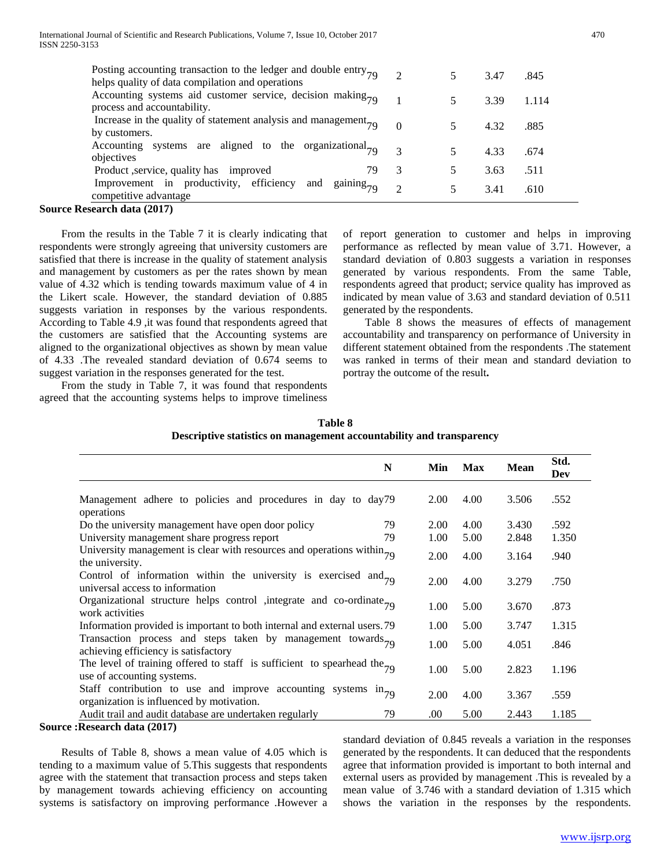| Posting accounting transaction to the ledger and double entry <sub>70</sub><br>helps quality of data compilation and operations |               | 3.47 | .845    |
|---------------------------------------------------------------------------------------------------------------------------------|---------------|------|---------|
| Accounting systems aid customer service, decision making <sub>70</sub><br>process and accountability.                           |               | 3.39 | 1 1 1 4 |
| Increase in the quality of statement analysis and management <sub>70</sub><br>by customers.                                     |               | 4.32 | .885    |
| Accounting systems are aligned to the organizational <sub>70</sub><br>objectives                                                |               | 4.33 | .674    |
| Product , service, quality has improved<br>79                                                                                   | 3             | 3.63 | .511    |
| gaining $_{70}$<br>Improvement in productivity, efficiency<br>and<br>competitive advantage                                      | $\mathcal{D}$ | 3.41 | .610    |

#### **Source Research data (2017)**

 From the results in the Table 7 it is clearly indicating that respondents were strongly agreeing that university customers are satisfied that there is increase in the quality of statement analysis and management by customers as per the rates shown by mean value of 4.32 which is tending towards maximum value of 4 in the Likert scale. However, the standard deviation of 0.885 suggests variation in responses by the various respondents. According to Table 4.9 ,it was found that respondents agreed that the customers are satisfied that the Accounting systems are aligned to the organizational objectives as shown by mean value of 4.33 .The revealed standard deviation of 0.674 seems to suggest variation in the responses generated for the test.

of report generation to customer and helps in improving performance as reflected by mean value of 3.71. However, a standard deviation of 0.803 suggests a variation in responses generated by various respondents. From the same Table, respondents agreed that product; service quality has improved as indicated by mean value of 3.63 and standard deviation of 0.511 generated by the respondents.

 Table 8 shows the measures of effects of management accountability and transparency on performance of University in different statement obtained from the respondents .The statement was ranked in terms of their mean and standard deviation to portray the outcome of the result**.**

 From the study in Table 7, it was found that respondents agreed that the accounting systems helps to improve timeliness

| N                                                                                                               | Min  | <b>Max</b> | Mean  | Std.<br>Dev |
|-----------------------------------------------------------------------------------------------------------------|------|------------|-------|-------------|
| Management adhere to policies and procedures in day to day79<br>operations                                      | 2.00 | 4.00       | 3.506 | .552        |
| Do the university management have open door policy<br>79                                                        | 2.00 | 4.00       | 3.430 | .592        |
| University management share progress report<br>79                                                               | 1.00 | 5.00       | 2.848 | 1.350       |
| University management is clear with resources and operations within $_{79}$<br>the university.                  | 2.00 | 4.00       | 3.164 | .940        |
| Control of information within the university is exercised and $_{79}$<br>universal access to information        | 2.00 | 4.00       | 3.279 | .750        |
| Organizational structure helps control ,integrate and co-ordinate $_{79}$<br>work activities                    | 1.00 | 5.00       | 3.670 | .873        |
| Information provided is important to both internal and external users. 79                                       | 1.00 | 5.00       | 3.747 | 1.315       |
| Transaction process and steps taken by management towards $_{70}$<br>achieving efficiency is satisfactory       | 1.00 | 5.00       | 4.051 | .846        |
| The level of training offered to staff is sufficient to spearhead the $_{79}$<br>use of accounting systems.     | 1.00 | 5.00       | 2.823 | 1.196       |
| Staff contribution to use and improve accounting systems $in_{79}$<br>organization is influenced by motivation. | 2.00 | 4.00       | 3.367 | .559        |
| Audit trail and audit database are undertaken regularly<br>79                                                   | .00  | 5.00       | 2.443 | 1.185       |

 Results of Table 8, shows a mean value of 4.05 which is tending to a maximum value of 5.This suggests that respondents agree with the statement that transaction process and steps taken by management towards achieving efficiency on accounting systems is satisfactory on improving performance .However a

standard deviation of 0.845 reveals a variation in the responses generated by the respondents. It can deduced that the respondents agree that information provided is important to both internal and external users as provided by management .This is revealed by a mean value of 3.746 with a standard deviation of 1.315 which shows the variation in the responses by the respondents.

**Table 8**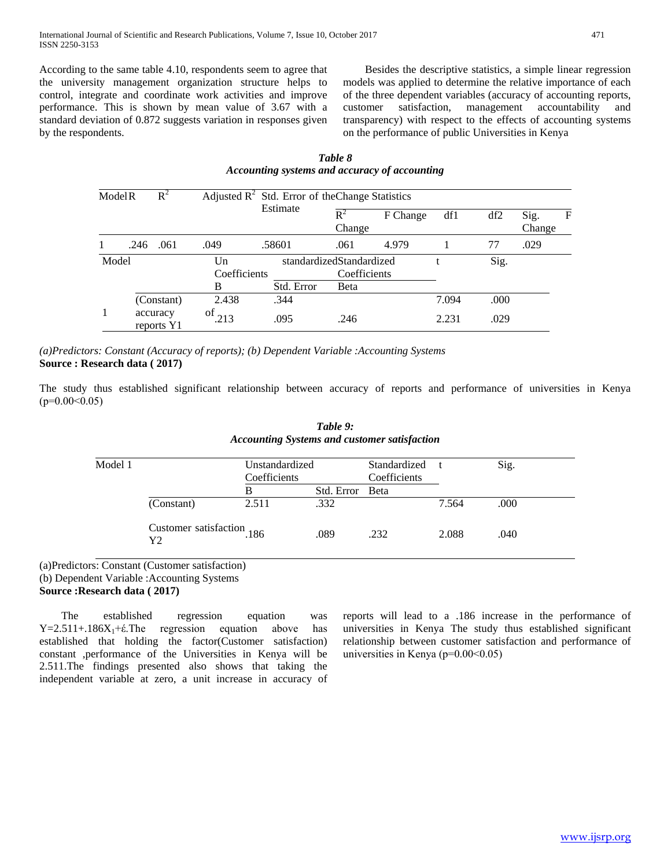According to the same table 4.10, respondents seem to agree that the university management organization structure helps to control, integrate and coordinate work activities and improve performance. This is shown by mean value of 3.67 with a standard deviation of 0.872 suggests variation in responses given by the respondents.

 Besides the descriptive statistics, a simple linear regression models was applied to determine the relative importance of each of the three dependent variables (accuracy of accounting reports, customer satisfaction, management accountability and transparency) with respect to the effects of accounting systems on the performance of public Universities in Kenya

| Table 8                                       |
|-----------------------------------------------|
| Accounting systems and accuracy of accounting |

| ModelR |      | $R^2$                  |              |                          | Adjusted $\mathbb{R}^2$ Std. Error of the Change Statistics |          |       |      |                |             |
|--------|------|------------------------|--------------|--------------------------|-------------------------------------------------------------|----------|-------|------|----------------|-------------|
|        |      |                        |              | Estimate                 | $\overline{R^2}$<br>Change                                  | F Change | df1   | df2  | Sig.<br>Change | $\mathbf F$ |
|        | .246 | .061                   | .049         | .58601                   | .061                                                        | 4.979    |       | 77   | .029           |             |
| Model  |      | Un                     |              | standardizedStandardized |                                                             |          | Sig.  |      |                |             |
|        |      |                        | Coefficients |                          | Coefficients                                                |          |       |      |                |             |
|        |      |                        | B            | Std. Error               | <b>B</b> eta                                                |          |       |      |                |             |
|        |      | (Constant)             | 2.438        | .344                     |                                                             |          | 7.094 | .000 |                |             |
| 1      |      | accuracy<br>reports Y1 | of<br>.213   | .095                     | .246                                                        |          | 2.231 | .029 |                |             |

*(a)Predictors: Constant (Accuracy of reports); (b) Dependent Variable :Accounting Systems* **Source : Research data ( 2017)**

The study thus established significant relationship between accuracy of reports and performance of universities in Kenya  $(p=0.00<0.05)$ 

|         |                                             | Accounting Systems and customer satisfaction |            |              |       |      |
|---------|---------------------------------------------|----------------------------------------------|------------|--------------|-------|------|
| Model 1 |                                             | Unstandardized<br>Coefficients               |            | Standardized | t.    | Sig. |
|         |                                             |                                              |            | Coefficients |       |      |
|         |                                             | В                                            | Std. Error | <b>Beta</b>  |       |      |
|         | (Constant)                                  | 2.511                                        | .332       |              | 7.564 | .000 |
|         | Customer satisfaction <sub>.186</sub><br>Y2 |                                              | .089       | .232         | 2.088 | .040 |

# *Table 9: Accounting Systems and customer satisfaction*

(a)Predictors: Constant (Customer satisfaction) (b) Dependent Variable :Accounting Systems **Source :Research data ( 2017)**

 The established regression equation was  $Y=2.511+.186X_1+ \epsilon$ . The regression equation above has established that holding the factor(Customer satisfaction) constant ,performance of the Universities in Kenya will be 2.511.The findings presented also shows that taking the independent variable at zero, a unit increase in accuracy of reports will lead to a .186 increase in the performance of universities in Kenya The study thus established significant relationship between customer satisfaction and performance of universities in Kenya (p=0.00˂0.05)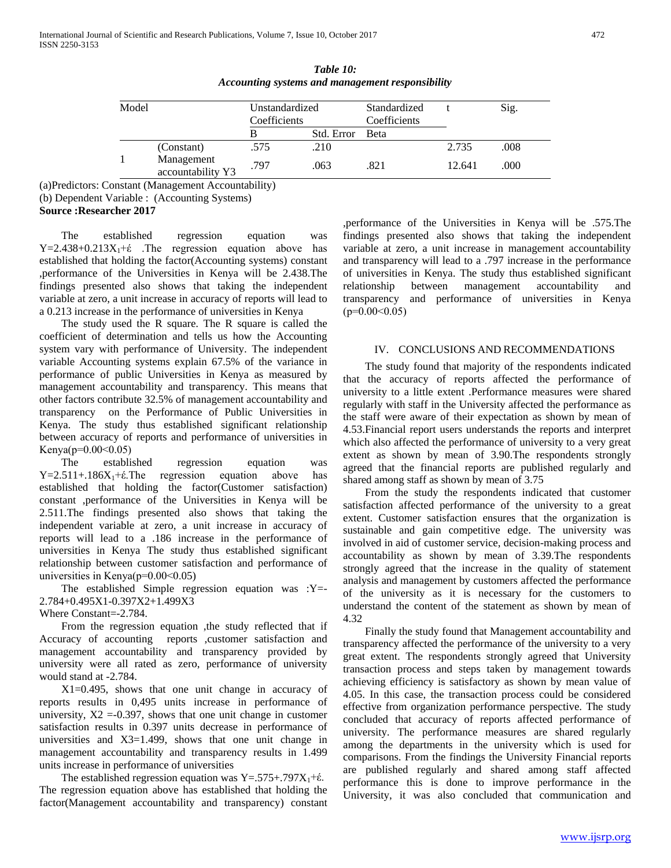| Model |                                 | Unstandardized<br>Coefficients |            | Standardized<br>Coefficients |        | Sig. |
|-------|---------------------------------|--------------------------------|------------|------------------------------|--------|------|
|       |                                 |                                | Std. Error | <b>Beta</b>                  |        |      |
|       | (Constant)                      | .575                           | .210       |                              | 2.735  | .008 |
|       | Management<br>accountability Y3 | .797                           | .063       | .821                         | 12.641 | .000 |

*Table 10: Accounting systems and management responsibility*

(a)Predictors: Constant (Management Accountability) (b) Dependent Variable : (Accounting Systems) **Source :Researcher 2017**

 The established regression equation was  $Y=2.438+0.213X_1+\epsilon$  . The regression equation above has established that holding the factor(Accounting systems) constant ,performance of the Universities in Kenya will be 2.438.The findings presented also shows that taking the independent variable at zero, a unit increase in accuracy of reports will lead to a 0.213 increase in the performance of universities in Kenya

 The study used the R square. The R square is called the coefficient of determination and tells us how the Accounting system vary with performance of University. The independent variable Accounting systems explain 67.5% of the variance in performance of public Universities in Kenya as measured by management accountability and transparency. This means that other factors contribute 32.5% of management accountability and transparency on the Performance of Public Universities in Kenya. The study thus established significant relationship between accuracy of reports and performance of universities in Kenya( $p=0.00<0.05$ )

 The established regression equation was  $Y=2.511+.186X_1+\epsilon$ . The regression equation above has established that holding the factor(Customer satisfaction) constant ,performance of the Universities in Kenya will be 2.511.The findings presented also shows that taking the independent variable at zero, a unit increase in accuracy of reports will lead to a .186 increase in the performance of universities in Kenya The study thus established significant relationship between customer satisfaction and performance of universities in Kenya( $p=0.00<0.05$ )

 The established Simple regression equation was :Y=- 2.784+0.495X1-0.397X2+1.499X3

Where Constant=-2.784.

 From the regression equation ,the study reflected that if Accuracy of accounting reports ,customer satisfaction and management accountability and transparency provided by university were all rated as zero, performance of university would stand at -2.784.

 X1=0.495, shows that one unit change in accuracy of reports results in 0,495 units increase in performance of university,  $X2 = 0.397$ , shows that one unit change in customer satisfaction results in 0.397 units decrease in performance of universities and X3=1.499, shows that one unit change in management accountability and transparency results in 1.499 units increase in performance of universities

The established regression equation was  $Y = .575 + .797X_1 + \epsilon$ . The regression equation above has established that holding the factor(Management accountability and transparency) constant

,performance of the Universities in Kenya will be .575.The findings presented also shows that taking the independent variable at zero, a unit increase in management accountability and transparency will lead to a .797 increase in the performance of universities in Kenya. The study thus established significant relationship between management accountability and transparency and performance of universities in Kenya  $(p=0.00<0.05)$ 

# IV. CONCLUSIONS AND RECOMMENDATIONS

 The study found that majority of the respondents indicated that the accuracy of reports affected the performance of university to a little extent .Performance measures were shared regularly with staff in the University affected the performance as the staff were aware of their expectation as shown by mean of 4.53.Financial report users understands the reports and interpret which also affected the performance of university to a very great extent as shown by mean of 3.90.The respondents strongly agreed that the financial reports are published regularly and shared among staff as shown by mean of 3.75

 From the study the respondents indicated that customer satisfaction affected performance of the university to a great extent. Customer satisfaction ensures that the organization is sustainable and gain competitive edge. The university was involved in aid of customer service, decision-making process and accountability as shown by mean of 3.39.The respondents strongly agreed that the increase in the quality of statement analysis and management by customers affected the performance of the university as it is necessary for the customers to understand the content of the statement as shown by mean of 4.32

 Finally the study found that Management accountability and transparency affected the performance of the university to a very great extent. The respondents strongly agreed that University transaction process and steps taken by management towards achieving efficiency is satisfactory as shown by mean value of 4.05. In this case, the transaction process could be considered effective from organization performance perspective. The study concluded that accuracy of reports affected performance of university. The performance measures are shared regularly among the departments in the university which is used for comparisons. From the findings the University Financial reports are published regularly and shared among staff affected performance this is done to improve performance in the University, it was also concluded that communication and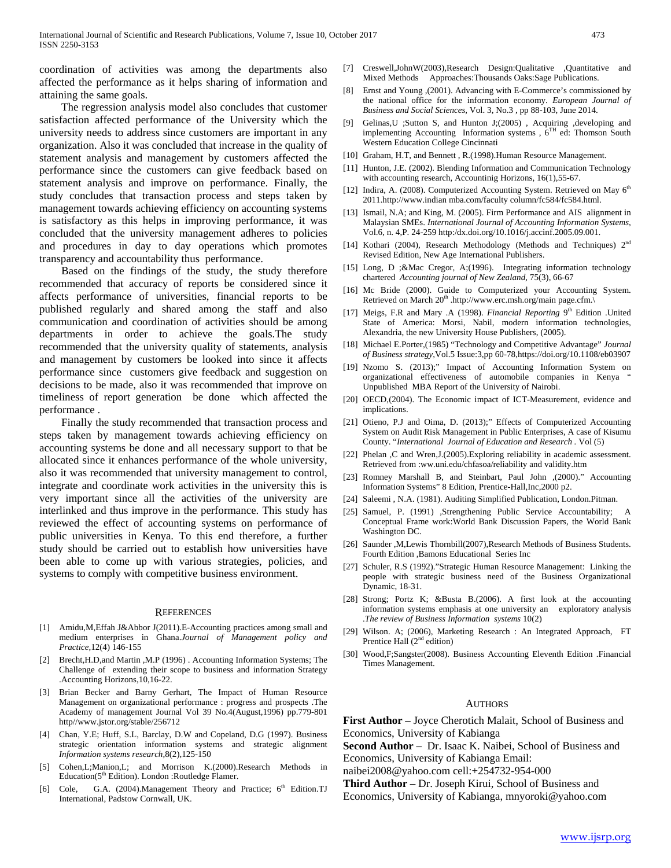coordination of activities was among the departments also affected the performance as it helps sharing of information and attaining the same goals.

 The regression analysis model also concludes that customer satisfaction affected performance of the University which the university needs to address since customers are important in any organization. Also it was concluded that increase in the quality of statement analysis and management by customers affected the performance since the customers can give feedback based on statement analysis and improve on performance. Finally, the study concludes that transaction process and steps taken by management towards achieving efficiency on accounting systems is satisfactory as this helps in improving performance, it was concluded that the university management adheres to policies and procedures in day to day operations which promotes transparency and accountability thus performance.

 Based on the findings of the study, the study therefore recommended that accuracy of reports be considered since it affects performance of universities, financial reports to be published regularly and shared among the staff and also communication and coordination of activities should be among departments in order to achieve the goals.The study recommended that the university quality of statements, analysis and management by customers be looked into since it affects performance since customers give feedback and suggestion on decisions to be made, also it was recommended that improve on timeliness of report generation be done which affected the performance .

 Finally the study recommended that transaction process and steps taken by management towards achieving efficiency on accounting systems be done and all necessary support to that be allocated since it enhances performance of the whole university, also it was recommended that university management to control, integrate and coordinate work activities in the university this is very important since all the activities of the university are interlinked and thus improve in the performance. This study has reviewed the effect of accounting systems on performance of public universities in Kenya. To this end therefore, a further study should be carried out to establish how universities have been able to come up with various strategies, policies, and systems to comply with competitive business environment.

#### **REFERENCES**

- [1] Amidu,M,Effah J&Abbor J(2011).E-Accounting practices among small and medium enterprises in Ghana.*Journal of Management policy and Practice,*12(4) 146-155
- [2] Brecht,H.D,and Martin ,M.P (1996) . Accounting Information Systems; The Challenge of extending their scope to business and information Strategy .Accounting Horizons,10,16-22.
- [3] Brian Becker and Barny Gerhart, The Impact of Human Resource Management on organizational performance : progress and prospects .The Academy of management Journal Vol 39 No.4(August,1996) pp.779-801 http//www.jstor.org/stable/256712
- [4] Chan, Y.E; Huff, S.L, Barclay, D.W and Copeland, D.G (1997). Business strategic orientation information systems and strategic alignment *Information systems research,*8(2),125-150
- [5] Cohen,L;Manion,L; and Morrison K.(2000).Research Methods in Education(5<sup>th</sup> Edition). London :Routledge Flamer.
- [6] Cole, G.A. (2004).Management Theory and Practice; 6<sup>th</sup> Edition.TJ International, Padstow Cornwall, UK.
- [7] Creswell,JohnW(2003),Research Design:Qualitative ,Quantitative and Mixed Methods Approaches:Thousands Oaks:Sage Publications.
- [8] Ernst and Young ,(2001). Advancing with E-Commerce's commissioned by the national office for the information economy. *European Journal of Business and Social Sciences,* Vol. 3, No.3 , pp 88-103, June 2014.
- [9] Gelinas, U ; Sutton S, and Hunton J;(2005), Acquiring ,developing and implementing Accounting Information systems ,  $6^{TH}$  ed: Thomson South Western Education College Cincinnati
- [10] Graham, H.T, and Bennett, R.(1998).Human Resource Management.
- [11] Hunton, J.E. (2002). Blending Information and Communication Technology with accounting research, Accountinig Horizons, 16(1),55-67.
- [12] Indira, A. (2008). Computerized Accounting System. Retrieved on May 6<sup>th</sup> 2011.http://www.indian mba.com/faculty column/fc584/fc584.html.
- [13] Ismail, N.A; and King, M. (2005). Firm Performance and AIS alignment in Malaysian SMEs. *International Journal of Accounting Information Systems,* Vol.6, n. 4,P. 24-259 http:/dx.doi.org/10.1016/j.accinf.2005.09.001.
- [14] Kothari (2004), Research Methodology (Methods and Techniques) 2<sup>nd</sup> Revised Edition, New Age International Publishers.
- [15] Long, D ;&Mac Cregor, A;(1996). Integrating information technology chartered *Accounting journal of New Zealand,* 75(3), 66-67
- [16] Mc Bride (2000). Guide to Computerized your Accounting System. Retrieved on March  $20^{th}$  .http://www.erc.msh.org/main page.cfm. $\sqrt{ }$
- [17] Meigs, F.R and Mary .A (1998). *Financial Reporting* 9<sup>th</sup> Edition .United State of America: Morsi, Nabil, modern information technologies, Alexandria, the new University House Publishers, (2005).
- [18] Michael E.Porter,(1985) "Technology and Competitive Advantage" *Journal of Business strategy*,Vol.5 Issue:3,pp 60-78,https://doi.org/10.1108/eb03907
- [19] Nzomo S. (2013);" Impact of Accounting Information System on organizational effectiveness of automobile companies in Kenya " Unpublished MBA Report of the University of Nairobi.
- [20] OECD,(2004). The Economic impact of ICT-Measurement, evidence and implications.
- [21] Otieno, P.J and Oima, D. (2013);" Effects of Computerized Accounting System on Audit Risk Management in Public Enterprises, A case of Kisumu County. "*International Journal of Education and Research .* Vol (5)
- [22] Phelan ,C and Wren, J. (2005). Exploring reliability in academic assessment. Retrieved from :ww.uni.edu/chfasoa/reliability and validity.htm
- [23] Romney Marshall B, and Steinbart, Paul John ,(2000)." Accounting Information Systems" 8 Edition, Prentice-Hall,Inc,2000 p2.
- [24] Saleemi , N.A. (1981). Auditing Simplified Publication, London.Pitman.
- [25] Samuel, P. (1991) ,Strengthening Public Service Accountability; A Conceptual Frame work:World Bank Discussion Papers, the World Bank Washington DC.
- [26] Saunder , M, Lewis Thornbill(2007), Research Methods of Business Students. Fourth Edition ,Bamons Educational Series Inc
- [27] Schuler, R.S (1992)."Strategic Human Resource Management: Linking the people with strategic business need of the Business Organizational Dynamic, 18-31.
- [28] Strong; Portz K; &Busta B.(2006). A first look at the accounting information systems emphasis at one university an exploratory analysis .*The review of Business Information systems* 10(2)
- [29] Wilson. A; (2006), Marketing Research : An Integrated Approach, FT Prentice Hall  $(2<sup>nd</sup>$  edition)
- [30] Wood,F;Sangster(2008). Business Accounting Eleventh Edition .Financial Times Management.

#### **AUTHORS**

**First Author** – Joyce Cherotich Malait, School of Business and Economics, University of Kabianga

**Second Author** – Dr. Isaac K. Naibei, School of Business and Economics, University of Kabianga Email:

naibei2008@yahoo.com cell:+254732-954-000

**Third Author** – Dr. Joseph Kirui, School of Business and Economics, University of Kabianga, mnyoroki@yahoo.com